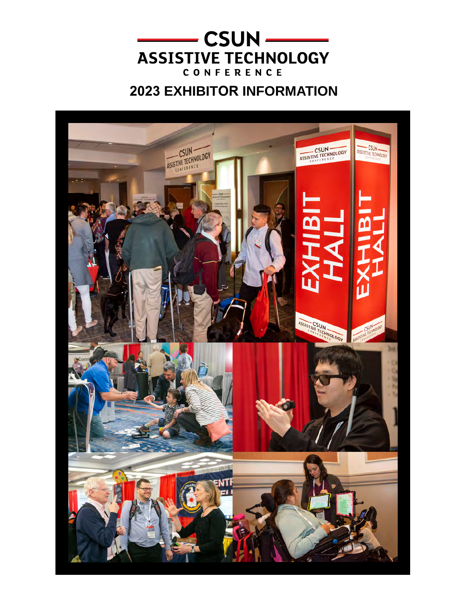

# **EXHIBITOR INFORMATION**

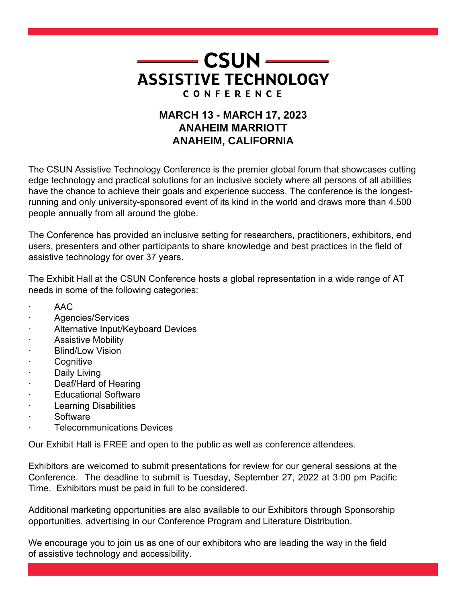

# **MARCH 13 - MARCH 17, 2023 ANAHEIM MARRIOTT ANAHEIM, CALIFORNIA**

The CSUN Assistive Technology Conference is the premier global forum that showcases cutting edge technology and practical solutions for an inclusive society where all persons of all abilities have the chance to achieve their goals and experience success. The conference is the longestrunning and only university-sponsored event of its kind in the world and draws more than 4,500 people annually from all around the globe.

The Conference has provided an inclusive setting for researchers, practitioners, exhibitors, end users, presenters and other participants to share knowledge and best practices in the field of assistive technology for over 37 years.

The Exhibit Hall at the CSUN Conference hosts a global representation in a wide range of AT needs in some of the following categories:

- · AAC
- Agencies/Services
- Alternative Input/Keyboard Devices
- Assistive Mobility
- **Blind/Low Vision**
- **Cognitive**
- Daily Living
- Deaf/Hard of Hearing
- **Educational Software**
- **Learning Disabilities**
- · Software
- **Telecommunications Devices**

Our Exhibit Hall is FREE and open to the public as well as conference attendees.

Exhibitors are welcomed to submit presentations for review for our general sessions at the Conference. The deadline to submit is Tuesday, September 27, 2022 at 3:00 pm Pacific Time. Exhibitors must be paid in full to be considered.

Additional marketing opportunities are also available to our Exhibitors through Sponsorship opportunities, advertising in our Conference Program and Literature Distribution.

We encourage you to join us as one of our exhibitors who are leading the way in the field of assistive technology and accessibility.